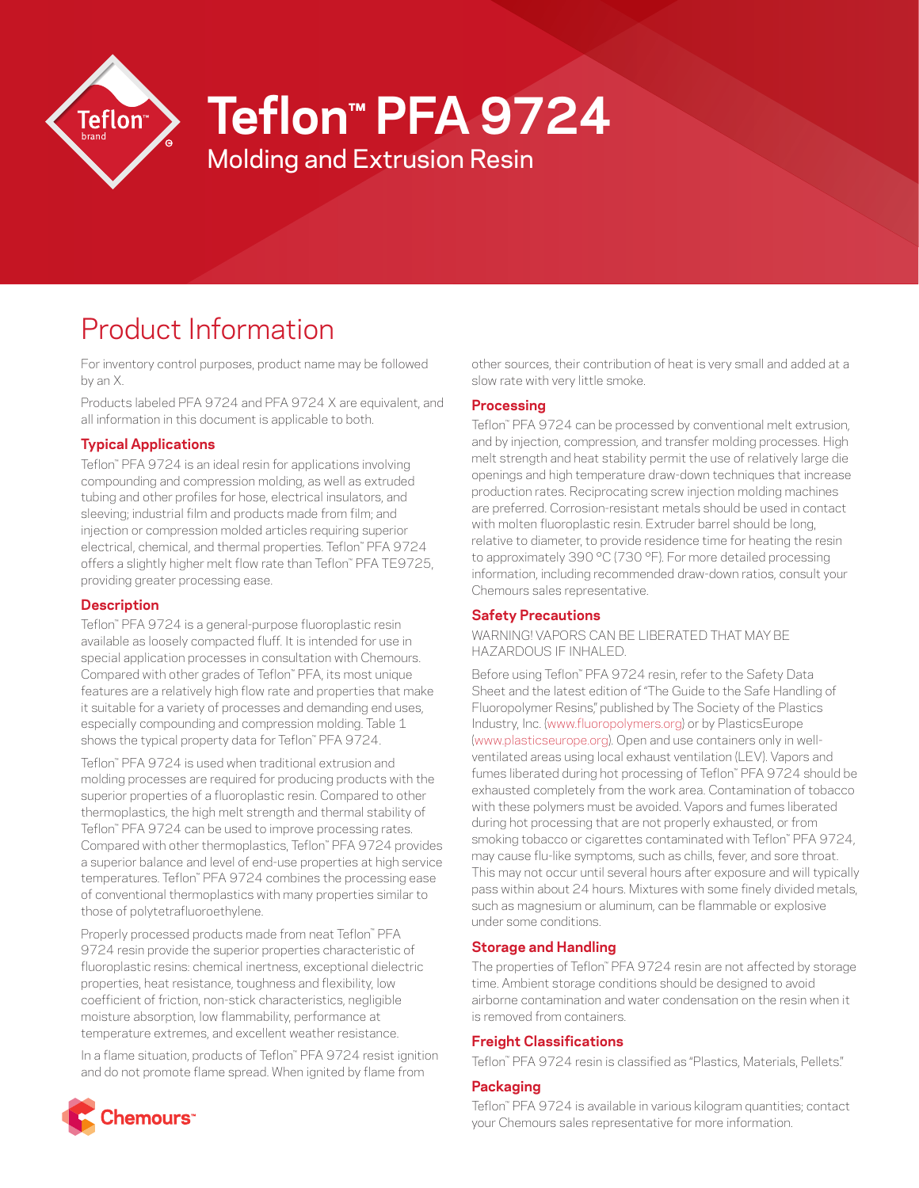

# **Teflon™ PFA 9724**

Molding and Extrusion Resin

# Product Information

For inventory control purposes, product name may be followed by an X.

Products labeled PFA 9724 and PFA 9724 X are equivalent, and all information in this document is applicable to both.

## **Typical Applications**

Teflon™ PFA 9724 is an ideal resin for applications involving compounding and compression molding, as well as extruded tubing and other profiles for hose, electrical insulators, and sleeving; industrial film and products made from film; and injection or compression molded articles requiring superior electrical, chemical, and thermal properties. Teflon™ PFA 9724 offers a slightly higher melt flow rate than Teflon™ PFA TE9725, providing greater processing ease.

## **Description**

Teflon™ PFA 9724 is a general-purpose fluoroplastic resin available as loosely compacted fluff. It is intended for use in special application processes in consultation with Chemours. Compared with other grades of Teflon™ PFA, its most unique features are a relatively high flow rate and properties that make it suitable for a variety of processes and demanding end uses, especially compounding and compression molding. Table 1 shows the typical property data for Teflon™ PFA 9724.

Teflon™ PFA 9724 is used when traditional extrusion and molding processes are required for producing products with the superior properties of a fluoroplastic resin. Compared to other thermoplastics, the high melt strength and thermal stability of Teflon™ PFA 9724 can be used to improve processing rates. Compared with other thermoplastics, Teflon™ PFA 9724 provides a superior balance and level of end-use properties at high service temperatures. Teflon™ PFA 9724 combines the processing ease of conventional thermoplastics with many properties similar to those of polytetrafluoroethylene.

Properly processed products made from neat Teflon™ PFA 9724 resin provide the superior properties characteristic of fluoroplastic resins: chemical inertness, exceptional dielectric properties, heat resistance, toughness and flexibility, low coefficient of friction, non-stick characteristics, negligible moisture absorption, low flammability, performance at temperature extremes, and excellent weather resistance.

In a flame situation, products of Teflon™ PFA 9724 resist ignition and do not promote flame spread. When ignited by flame from



other sources, their contribution of heat is very small and added at a slow rate with very little smoke.

## **Processing**

Teflon™ PFA 9724 can be processed by conventional melt extrusion, and by injection, compression, and transfer molding processes. High melt strength and heat stability permit the use of relatively large die openings and high temperature draw-down techniques that increase production rates. Reciprocating screw injection molding machines are preferred. Corrosion-resistant metals should be used in contact with molten fluoroplastic resin. Extruder barrel should be long, relative to diameter, to provide residence time for heating the resin to approximately 390 °C (730 °F). For more detailed processing information, including recommended draw-down ratios, consult your Chemours sales representative.

## **Safety Precautions**

WARNING! VAPORS CAN BE LIBERATED THAT MAY BE HAZARDOUS IF INHALED.

Before using Teflon™ PFA 9724 resin, refer to the Safety Data Sheet and the latest edition of "The Guide to the Safe Handling of Fluoropolymer Resins," published by The Society of the Plastics Industry, Inc. ([www.fluoropolymers.org](http://www.fluoropolymers.org)) or by PlasticsEurope [\(www.plasticseurope.org](http://www.plasticseurope.org)). Open and use containers only in wellventilated areas using local exhaust ventilation (LEV). Vapors and fumes liberated during hot processing of Teflon™ PFA 9724 should be exhausted completely from the work area. Contamination of tobacco with these polymers must be avoided. Vapors and fumes liberated during hot processing that are not properly exhausted, or from smoking tobacco or cigarettes contaminated with Teflon™ PFA 9724, may cause flu-like symptoms, such as chills, fever, and sore throat. This may not occur until several hours after exposure and will typically pass within about 24 hours. Mixtures with some finely divided metals, such as magnesium or aluminum, can be flammable or explosive under some conditions.

## **Storage and Handling**

The properties of Teflon™ PFA 9724 resin are not affected by storage time. Ambient storage conditions should be designed to avoid airborne contamination and water condensation on the resin when it is removed from containers.

## **Freight Classifications**

Teflon™ PFA 9724 resin is classified as "Plastics, Materials, Pellets."

## **Packaging**

Teflon™ PFA 9724 is available in various kilogram quantities; contact your Chemours sales representative for more information.